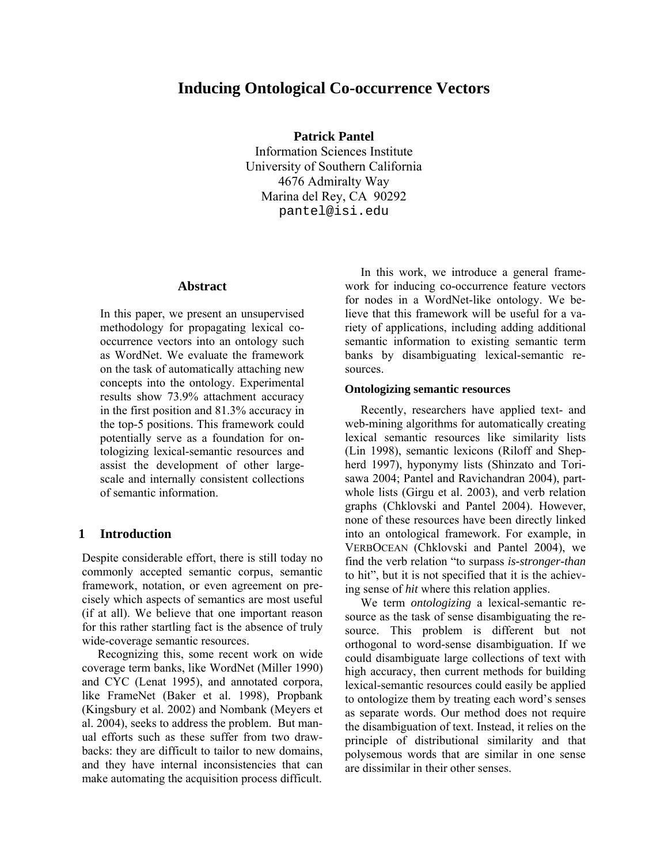# **Inducing Ontological Co-occurrence Vectors**

**Patrick Pantel** 

Information Sciences Institute University of Southern California 4676 Admiralty Way Marina del Rey, CA 90292 pantel@isi.edu

### **Abstract**

In this paper, we present an unsupervised methodology for propagating lexical cooccurrence vectors into an ontology such as WordNet. We evaluate the framework on the task of automatically attaching new concepts into the ontology. Experimental results show 73.9% attachment accuracy in the first position and 81.3% accuracy in the top-5 positions. This framework could potentially serve as a foundation for ontologizing lexical-semantic resources and assist the development of other largescale and internally consistent collections of semantic information.

# **1 Introduction**

Despite considerable effort, there is still today no commonly accepted semantic corpus, semantic framework, notation, or even agreement on precisely which aspects of semantics are most useful (if at all). We believe that one important reason for this rather startling fact is the absence of truly wide-coverage semantic resources.

Recognizing this, some recent work on wide coverage term banks, like WordNet (Miller 1990) and CYC (Lenat 1995), and annotated corpora, like FrameNet (Baker et al. 1998), Propbank (Kingsbury et al. 2002) and Nombank (Meyers et al. 2004), seeks to address the problem. But manual efforts such as these suffer from two drawbacks: they are difficult to tailor to new domains, and they have internal inconsistencies that can make automating the acquisition process difficult.

In this work, we introduce a general framework for inducing co-occurrence feature vectors for nodes in a WordNet-like ontology. We believe that this framework will be useful for a variety of applications, including adding additional semantic information to existing semantic term banks by disambiguating lexical-semantic resources.

# **Ontologizing semantic resources**

Recently, researchers have applied text- and web-mining algorithms for automatically creating lexical semantic resources like similarity lists (Lin 1998), semantic lexicons (Riloff and Shepherd 1997), hyponymy lists (Shinzato and Torisawa 2004; Pantel and Ravichandran 2004), partwhole lists (Girgu et al. 2003), and verb relation graphs (Chklovski and Pantel 2004). However, none of these resources have been directly linked into an ontological framework. For example, in VERBOCEAN (Chklovski and Pantel 2004), we find the verb relation "to surpass *is-stronger-than* to hit", but it is not specified that it is the achieving sense of *hit* where this relation applies.

We term *ontologizing* a lexical-semantic resource as the task of sense disambiguating the resource. This problem is different but not orthogonal to word-sense disambiguation. If we could disambiguate large collections of text with high accuracy, then current methods for building lexical-semantic resources could easily be applied to ontologize them by treating each word's senses as separate words. Our method does not require the disambiguation of text. Instead, it relies on the principle of distributional similarity and that polysemous words that are similar in one sense are dissimilar in their other senses.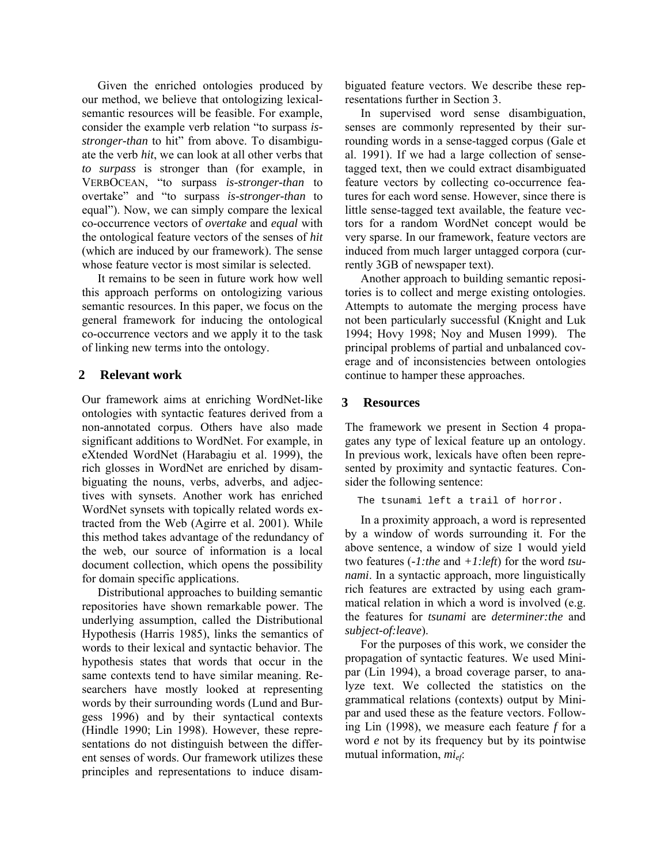Given the enriched ontologies produced by our method, we believe that ontologizing lexicalsemantic resources will be feasible. For example, consider the example verb relation "to surpass *isstronger-than* to hit" from above. To disambiguate the verb *hit*, we can look at all other verbs that *to surpass* is stronger than (for example, in VERBOCEAN, "to surpass *is-stronger-than* to overtake" and "to surpass *is-stronger-than* to equal"). Now, we can simply compare the lexical co-occurrence vectors of *overtake* and *equal* with the ontological feature vectors of the senses of *hit* (which are induced by our framework). The sense whose feature vector is most similar is selected.

It remains to be seen in future work how well this approach performs on ontologizing various semantic resources. In this paper, we focus on the general framework for inducing the ontological co-occurrence vectors and we apply it to the task of linking new terms into the ontology.

# **2 Relevant work**

Our framework aims at enriching WordNet-like ontologies with syntactic features derived from a non-annotated corpus. Others have also made significant additions to WordNet. For example, in eXtended WordNet (Harabagiu et al. 1999), the rich glosses in WordNet are enriched by disambiguating the nouns, verbs, adverbs, and adjectives with synsets. Another work has enriched WordNet synsets with topically related words extracted from the Web (Agirre et al. 2001). While this method takes advantage of the redundancy of the web, our source of information is a local document collection, which opens the possibility for domain specific applications.

Distributional approaches to building semantic repositories have shown remarkable power. The underlying assumption, called the Distributional Hypothesis (Harris 1985), links the semantics of words to their lexical and syntactic behavior. The hypothesis states that words that occur in the same contexts tend to have similar meaning. Researchers have mostly looked at representing words by their surrounding words (Lund and Burgess 1996) and by their syntactical contexts (Hindle 1990; Lin 1998). However, these representations do not distinguish between the different senses of words. Our framework utilizes these principles and representations to induce disambiguated feature vectors. We describe these representations further in Section 3.

In supervised word sense disambiguation, senses are commonly represented by their surrounding words in a sense-tagged corpus (Gale et al. 1991). If we had a large collection of sensetagged text, then we could extract disambiguated feature vectors by collecting co-occurrence features for each word sense. However, since there is little sense-tagged text available, the feature vectors for a random WordNet concept would be very sparse. In our framework, feature vectors are induced from much larger untagged corpora (currently 3GB of newspaper text).

Another approach to building semantic repositories is to collect and merge existing ontologies. Attempts to automate the merging process have not been particularly successful (Knight and Luk 1994; Hovy 1998; Noy and Musen 1999). The principal problems of partial and unbalanced coverage and of inconsistencies between ontologies continue to hamper these approaches.

## **3 Resources**

The framework we present in Section 4 propagates any type of lexical feature up an ontology. In previous work, lexicals have often been represented by proximity and syntactic features. Consider the following sentence:

```
The tsunami left a trail of horror.
```
In a proximity approach, a word is represented by a window of words surrounding it. For the above sentence, a window of size 1 would yield two features (*-1:the* and *+1:left*) for the word *tsunami*. In a syntactic approach, more linguistically rich features are extracted by using each grammatical relation in which a word is involved (e.g. the features for *tsunami* are *determiner:the* and *subject-of:leave*).

For the purposes of this work, we consider the propagation of syntactic features. We used Minipar (Lin 1994), a broad coverage parser, to analyze text. We collected the statistics on the grammatical relations (contexts) output by Minipar and used these as the feature vectors. Following Lin (1998), we measure each feature *f* for a word *e* not by its frequency but by its pointwise mutual information, *mief*: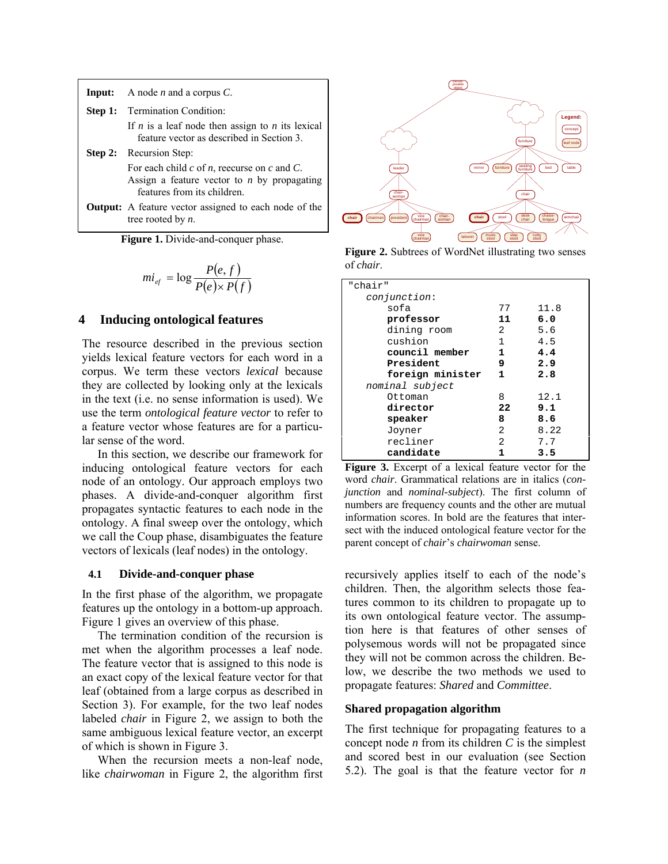| <b>Input:</b> A node <i>n</i> and a corpus $C$ .                                                                                      |
|---------------------------------------------------------------------------------------------------------------------------------------|
| Step 1: Termination Condition:                                                                                                        |
| If $n$ is a leaf node then assign to $n$ its lexical<br>feature vector as described in Section 3.                                     |
| Step 2: Recursion Step:                                                                                                               |
| For each child $c$ of $n$ , reecurse on $c$ and $C$ .<br>Assign a feature vector to $n$ by propagating<br>features from its children. |
| <b>Output:</b> A feature vector assigned to each node of the<br>tree rooted by <i>n</i> .                                             |

**Figure 1.** Divide-and-conquer phase.

$$
mi_{ef} = \log \frac{P(e, f)}{P(e) \times P(f)}
$$

## **4 Inducing ontological features**

The resource described in the previous section yields lexical feature vectors for each word in a corpus. We term these vectors *lexical* because they are collected by looking only at the lexicals in the text (i.e. no sense information is used). We use the term *ontological feature vector* to refer to a feature vector whose features are for a particular sense of the word.

In this section, we describe our framework for inducing ontological feature vectors for each node of an ontology. Our approach employs two phases. A divide-and-conquer algorithm first propagates syntactic features to each node in the ontology. A final sweep over the ontology, which we call the Coup phase, disambiguates the feature vectors of lexicals (leaf nodes) in the ontology.

### **4.1 Divide-and-conquer phase**

In the first phase of the algorithm, we propagate features up the ontology in a bottom-up approach. Figure 1 gives an overview of this phase.

The termination condition of the recursion is met when the algorithm processes a leaf node. The feature vector that is assigned to this node is an exact copy of the lexical feature vector for that leaf (obtained from a large corpus as described in Section 3). For example, for the two leaf nodes labeled *chair* in Figure 2, we assign to both the same ambiguous lexical feature vector, an excerpt of which is shown in Figure 3.

When the recursion meets a non-leaf node, like *chairwoman* in Figure 2, the algorithm first



Figure 2. Subtrees of WordNet illustrating two senses of *chair*.

| "chair"          |              |      |  |
|------------------|--------------|------|--|
| conjunction:     |              |      |  |
| sofa             | 77           | 11.8 |  |
| professor        | 11           | 6.0  |  |
| dining room      | 2            | 5.6  |  |
| cushion          | $\mathbf{1}$ | 4.5  |  |
| council member   | 1            | 4.4  |  |
| President        | 9            | 2.9  |  |
| foreign minister | 1            | 2.8  |  |
| nominal subject  |              |      |  |
| Ottoman          | 8            | 12.1 |  |
| director         | 22           | 9.1  |  |
| speaker          | 8            | 8.6  |  |
| Joyner           | 2            | 8.22 |  |
| recliner         | 2            | 7.7  |  |
| candidate        | 1            | 3.5  |  |

**Figure 3.** Excerpt of a lexical feature vector for the word *chair*. Grammatical relations are in italics (*conjunction* and *nominal-subject*). The first column of numbers are frequency counts and the other are mutual information scores. In bold are the features that intersect with the induced ontological feature vector for the parent concept of *chair*'s *chairwoman* sense.

recursively applies itself to each of the node's children. Then, the algorithm selects those features common to its children to propagate up to its own ontological feature vector. The assumption here is that features of other senses of polysemous words will not be propagated since they will not be common across the children. Below, we describe the two methods we used to propagate features: *Shared* and *Committee*.

### **Shared propagation algorithm**

The first technique for propagating features to a concept node *n* from its children *C* is the simplest and scored best in our evaluation (see Section 5.2). The goal is that the feature vector for *n*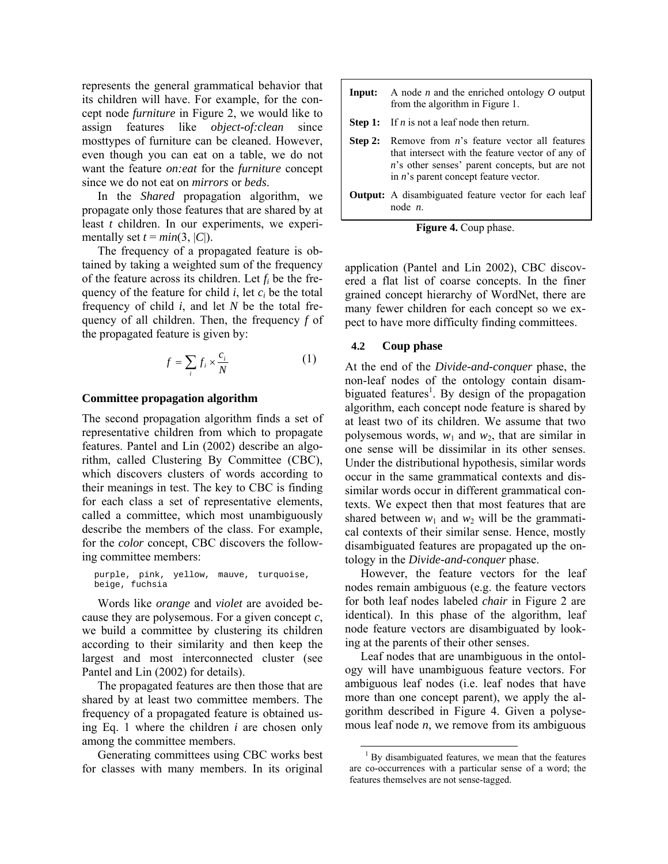represents the general grammatical behavior that its children will have. For example, for the concept node *furniture* in Figure 2, we would like to assign features like *object-of:clean* since mosttypes of furniture can be cleaned. However, even though you can eat on a table, we do not want the feature *on:eat* for the *furniture* concept since we do not eat on *mirrors* or *beds*.

In the *Shared* propagation algorithm, we propagate only those features that are shared by at least *t* children. In our experiments, we experimentally set  $t = min(3, |C|)$ .

The frequency of a propagated feature is obtained by taking a weighted sum of the frequency of the feature across its children. Let *fi* be the frequency of the feature for child  $i$ , let  $c_i$  be the total frequency of child *i*, and let *N* be the total frequency of all children. Then, the frequency *f* of the propagated feature is given by:

$$
f = \sum_{i} f_i \times \frac{c_i}{N} \tag{1}
$$

#### **Committee propagation algorithm**

The second propagation algorithm finds a set of representative children from which to propagate features. Pantel and Lin (2002) describe an algorithm, called Clustering By Committee (CBC), which discovers clusters of words according to their meanings in test. The key to CBC is finding for each class a set of representative elements, called a committee, which most unambiguously describe the members of the class. For example, for the *color* concept, CBC discovers the following committee members:

```
purple, pink, yellow, mauve, turquoise, 
beige, fuchsia
```
Words like *orange* and *violet* are avoided because they are polysemous. For a given concept *c*, we build a committee by clustering its children according to their similarity and then keep the largest and most interconnected cluster (see Pantel and Lin (2002) for details).

The propagated features are then those that are shared by at least two committee members. The frequency of a propagated feature is obtained using Eq. 1 where the children *i* are chosen only among the committee members.

Generating committees using CBC works best for classes with many members. In its original

|         | <b>Input:</b> A node $n$ and the enriched ontology $O$ output<br>from the algorithm in Figure 1.                                                                                                    |
|---------|-----------------------------------------------------------------------------------------------------------------------------------------------------------------------------------------------------|
|         | <b>Step 1:</b> If <i>n</i> is not a leaf node then return.                                                                                                                                          |
| Step 2: | Remove from $n$ 's feature vector all features<br>that intersect with the feature vector of any of<br>$n$ 's other senses' parent concepts, but are not<br>in $n$ 's parent concept feature vector. |
|         | <b>Output:</b> A disambiguated feature vector for each leaf<br>node <i>n</i>                                                                                                                        |

**Figure 4.** Coup phase.

application (Pantel and Lin 2002), CBC discovered a flat list of coarse concepts. In the finer grained concept hierarchy of WordNet, there are many fewer children for each concept so we expect to have more difficulty finding committees.

#### **4.2 Coup phase**

At the end of the *Divide-and-conquer* phase, the non-leaf nodes of the ontology contain disambiguated features<sup>1</sup>. By design of the propagation algorithm, each concept node feature is shared by at least two of its children. We assume that two polysemous words,  $w_1$  and  $w_2$ , that are similar in one sense will be dissimilar in its other senses. Under the distributional hypothesis, similar words occur in the same grammatical contexts and dissimilar words occur in different grammatical contexts. We expect then that most features that are shared between  $w_1$  and  $w_2$  will be the grammatical contexts of their similar sense. Hence, mostly disambiguated features are propagated up the ontology in the *Divide-and-conquer* phase.

However, the feature vectors for the leaf nodes remain ambiguous (e.g. the feature vectors for both leaf nodes labeled *chair* in Figure 2 are identical). In this phase of the algorithm, leaf node feature vectors are disambiguated by looking at the parents of their other senses.

Leaf nodes that are unambiguous in the ontology will have unambiguous feature vectors. For ambiguous leaf nodes (i.e. leaf nodes that have more than one concept parent), we apply the algorithm described in Figure 4. Given a polysemous leaf node *n*, we remove from its ambiguous

l

<sup>1</sup> By disambiguated features, we mean that the features are co-occurrences with a particular sense of a word; the features themselves are not sense-tagged.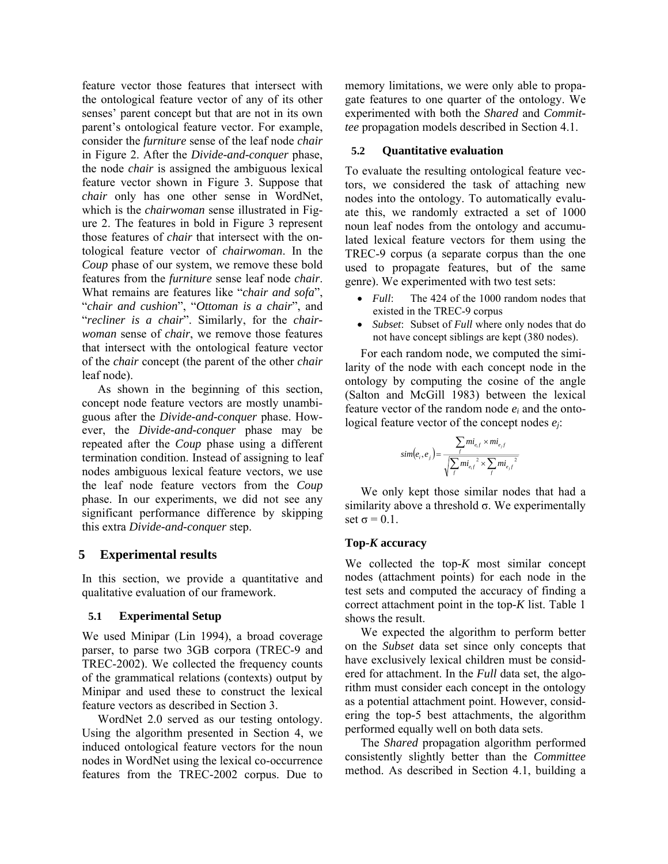feature vector those features that intersect with the ontological feature vector of any of its other senses' parent concept but that are not in its own parent's ontological feature vector. For example, consider the *furniture* sense of the leaf node *chair* in Figure 2. After the *Divide-and-conquer* phase, the node *chair* is assigned the ambiguous lexical feature vector shown in Figure 3. Suppose that *chair* only has one other sense in WordNet, which is the *chairwoman* sense illustrated in Figure 2. The features in bold in Figure 3 represent those features of *chair* that intersect with the ontological feature vector of *chairwoman*. In the *Coup* phase of our system, we remove these bold features from the *furniture* sense leaf node *chair*. What remains are features like "*chair and sofa*", "*chair and cushion*", "*Ottoman is a chair*", and "*recliner is a chair*". Similarly, for the *chairwoman* sense of *chair*, we remove those features that intersect with the ontological feature vector of the *chair* concept (the parent of the other *chair* leaf node).

As shown in the beginning of this section, concept node feature vectors are mostly unambiguous after the *Divide-and-conquer* phase. However, the *Divide-and-conquer* phase may be repeated after the *Coup* phase using a different termination condition. Instead of assigning to leaf nodes ambiguous lexical feature vectors, we use the leaf node feature vectors from the *Coup* phase. In our experiments, we did not see any significant performance difference by skipping this extra *Divide-and-conquer* step.

### **5 Experimental results**

In this section, we provide a quantitative and qualitative evaluation of our framework.

### **5.1 Experimental Setup**

We used Minipar (Lin 1994), a broad coverage parser, to parse two 3GB corpora (TREC-9 and TREC-2002). We collected the frequency counts of the grammatical relations (contexts) output by Minipar and used these to construct the lexical feature vectors as described in Section 3.

WordNet 2.0 served as our testing ontology. Using the algorithm presented in Section 4, we induced ontological feature vectors for the noun nodes in WordNet using the lexical co-occurrence features from the TREC-2002 corpus. Due to memory limitations, we were only able to propagate features to one quarter of the ontology. We experimented with both the *Shared* and *Committee* propagation models described in Section 4.1.

#### **5.2 Quantitative evaluation**

To evaluate the resulting ontological feature vectors, we considered the task of attaching new nodes into the ontology. To automatically evaluate this, we randomly extracted a set of 1000 noun leaf nodes from the ontology and accumulated lexical feature vectors for them using the TREC-9 corpus (a separate corpus than the one used to propagate features, but of the same genre). We experimented with two test sets:

- *Full*: The 424 of the 1000 random nodes that existed in the TREC-9 corpus
- *Subset*: Subset of *Full* where only nodes that do not have concept siblings are kept (380 nodes).

For each random node, we computed the similarity of the node with each concept node in the ontology by computing the cosine of the angle (Salton and McGill 1983) between the lexical feature vector of the random node *ei* and the ontological feature vector of the concept nodes *ej*:

$$
sim(e_i, e_j) = \frac{\sum_{f} m i_{e,f} \times m i_{e,f}}{\sqrt{\sum_{f} m i_{e,f}^2 \times \sum_{f} m i_{e,f}^2}}
$$

We only kept those similar nodes that had a similarity above a threshold  $\sigma$ . We experimentally set  $\sigma = 0.1$ .

### **Top-***K* **accuracy**

We collected the top-*K* most similar concept nodes (attachment points) for each node in the test sets and computed the accuracy of finding a correct attachment point in the top-*K* list. Table 1 shows the result.

We expected the algorithm to perform better on the *Subset* data set since only concepts that have exclusively lexical children must be considered for attachment. In the *Full* data set, the algorithm must consider each concept in the ontology as a potential attachment point. However, considering the top-5 best attachments, the algorithm performed equally well on both data sets.

The *Shared* propagation algorithm performed consistently slightly better than the *Committee* method. As described in Section 4.1, building a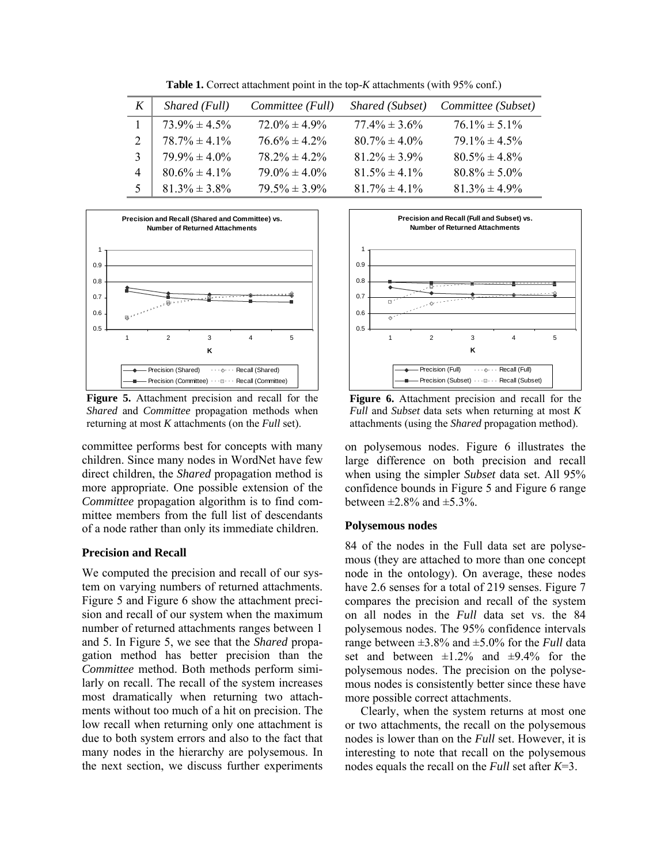| K | Shared (Full)      | Committee (Full)   | Shared (Subset)      | Committee (Subset) |
|---|--------------------|--------------------|----------------------|--------------------|
|   | $73.9\% \pm 4.5\%$ | $72.0\% \pm 4.9\%$ | $77.4\% \pm 3.6\%$   | $76.1\% \pm 5.1\%$ |
|   | $78.7\% \pm 4.1\%$ | $76.6\% \pm 4.2\%$ | $80.7\% \pm 4.0\%$   | $79.1\% \pm 4.5\%$ |
|   | $79.9\% \pm 4.0\%$ | $78.2\% \pm 4.2\%$ | $81.2\% \pm 3.9\%$   | $80.5\% \pm 4.8\%$ |
| 4 | $80.6\% \pm 4.1\%$ | $79.0\% \pm 4.0\%$ | $81.5\% \pm 4.1\%$   | $80.8\% \pm 5.0\%$ |
|   | $81.3\% \pm 3.8\%$ | $79.5\% \pm 3.9\%$ | $81\,7\% \pm 4\,1\%$ | $81.3\% \pm 4.9\%$ |

**Table 1.** Correct attachment point in the top-*K* attachments (with 95% conf.)



**Figure 5.** Attachment precision and recall for the *Shared* and *Committee* propagation methods when returning at most *K* attachments (on the *Full* set).

committee performs best for concepts with many children. Since many nodes in WordNet have few direct children, the *Shared* propagation method is more appropriate. One possible extension of the *Committee* propagation algorithm is to find committee members from the full list of descendants of a node rather than only its immediate children.

### **Precision and Recall**

We computed the precision and recall of our system on varying numbers of returned attachments. Figure 5 and Figure 6 show the attachment precision and recall of our system when the maximum number of returned attachments ranges between 1 and 5. In Figure 5, we see that the *Shared* propagation method has better precision than the *Committee* method. Both methods perform similarly on recall. The recall of the system increases most dramatically when returning two attachments without too much of a hit on precision. The low recall when returning only one attachment is due to both system errors and also to the fact that many nodes in the hierarchy are polysemous. In the next section, we discuss further experiments



**Figure 6.** Attachment precision and recall for the *Full* and *Subset* data sets when returning at most *K* attachments (using the *Shared* propagation method).

on polysemous nodes. Figure 6 illustrates the large difference on both precision and recall when using the simpler *Subset* data set. All 95% confidence bounds in Figure 5 and Figure 6 range between  $\pm 2.8\%$  and  $\pm 5.3\%$ .

### **Polysemous nodes**

84 of the nodes in the Full data set are polysemous (they are attached to more than one concept node in the ontology). On average, these nodes have 2.6 senses for a total of 219 senses. Figure 7 compares the precision and recall of the system on all nodes in the *Full* data set vs. the 84 polysemous nodes. The 95% confidence intervals range between ±3.8% and ±5.0% for the *Full* data set and between  $\pm 1.2\%$  and  $\pm 9.4\%$  for the polysemous nodes. The precision on the polysemous nodes is consistently better since these have more possible correct attachments.

Clearly, when the system returns at most one or two attachments, the recall on the polysemous nodes is lower than on the *Full* set. However, it is interesting to note that recall on the polysemous nodes equals the recall on the *Full* set after *K*=3.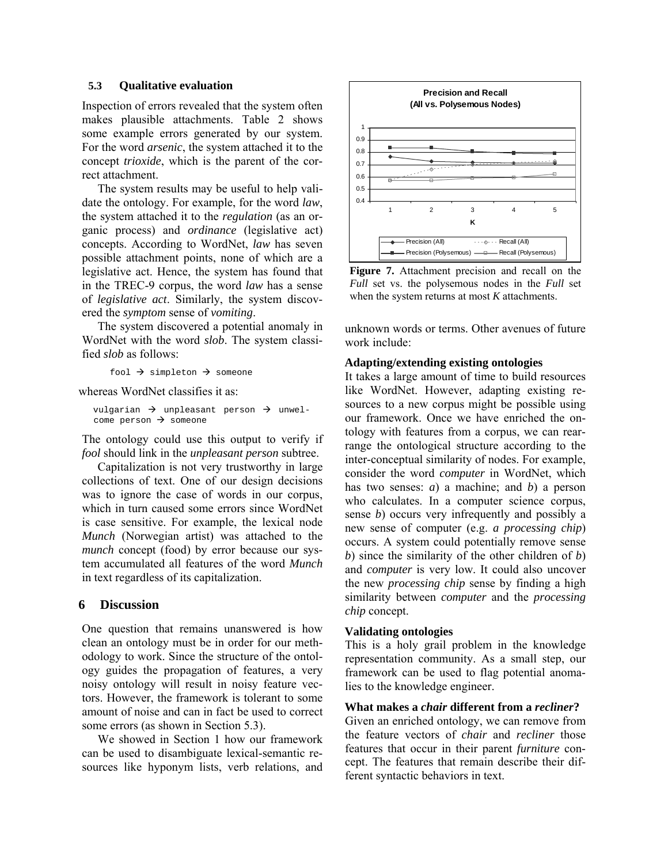#### **5.3 Qualitative evaluation**

Inspection of errors revealed that the system often makes plausible attachments. Table 2 shows some example errors generated by our system. For the word *arsenic*, the system attached it to the concept *trioxide*, which is the parent of the correct attachment.

The system results may be useful to help validate the ontology. For example, for the word *law*, the system attached it to the *regulation* (as an organic process) and *ordinance* (legislative act) concepts. According to WordNet, *law* has seven possible attachment points, none of which are a legislative act. Hence, the system has found that in the TREC-9 corpus, the word *law* has a sense of *legislative act*. Similarly, the system discovered the *symptom* sense of *vomiting*.

The system discovered a potential anomaly in WordNet with the word *slob*. The system classified *slob* as follows:

fool  $\rightarrow$  simpleton  $\rightarrow$  someone

whereas WordNet classifies it as:

vulgarian  $\rightarrow$  unpleasant person  $\rightarrow$  unwelcome person  $\rightarrow$  someone

The ontology could use this output to verify if *fool* should link in the *unpleasant person* subtree.

Capitalization is not very trustworthy in large collections of text. One of our design decisions was to ignore the case of words in our corpus, which in turn caused some errors since WordNet is case sensitive. For example, the lexical node *Munch* (Norwegian artist) was attached to the *munch* concept (food) by error because our system accumulated all features of the word *Munch* in text regardless of its capitalization.

# **6 Discussion**

One question that remains unanswered is how clean an ontology must be in order for our methodology to work. Since the structure of the ontology guides the propagation of features, a very noisy ontology will result in noisy feature vectors. However, the framework is tolerant to some amount of noise and can in fact be used to correct some errors (as shown in Section 5.3).

We showed in Section 1 how our framework can be used to disambiguate lexical-semantic resources like hyponym lists, verb relations, and



**Figure 7.** Attachment precision and recall on the *Full* set vs. the polysemous nodes in the *Full* set when the system returns at most *K* attachments.

unknown words or terms. Other avenues of future work include:

#### **Adapting/extending existing ontologies**

It takes a large amount of time to build resources like WordNet. However, adapting existing resources to a new corpus might be possible using our framework. Once we have enriched the ontology with features from a corpus, we can rearrange the ontological structure according to the inter-conceptual similarity of nodes. For example, consider the word *computer* in WordNet, which has two senses: *a*) a machine; and *b*) a person who calculates. In a computer science corpus, sense *b*) occurs very infrequently and possibly a new sense of computer (e.g. *a processing chip*) occurs. A system could potentially remove sense *b*) since the similarity of the other children of *b*) and *computer* is very low. It could also uncover the new *processing chip* sense by finding a high similarity between *computer* and the *processing chip* concept.

#### **Validating ontologies**

This is a holy grail problem in the knowledge representation community. As a small step, our framework can be used to flag potential anomalies to the knowledge engineer.

#### **What makes a** *chair* **different from a** *recliner***?**

Given an enriched ontology, we can remove from the feature vectors of *chair* and *recliner* those features that occur in their parent *furniture* concept. The features that remain describe their different syntactic behaviors in text.